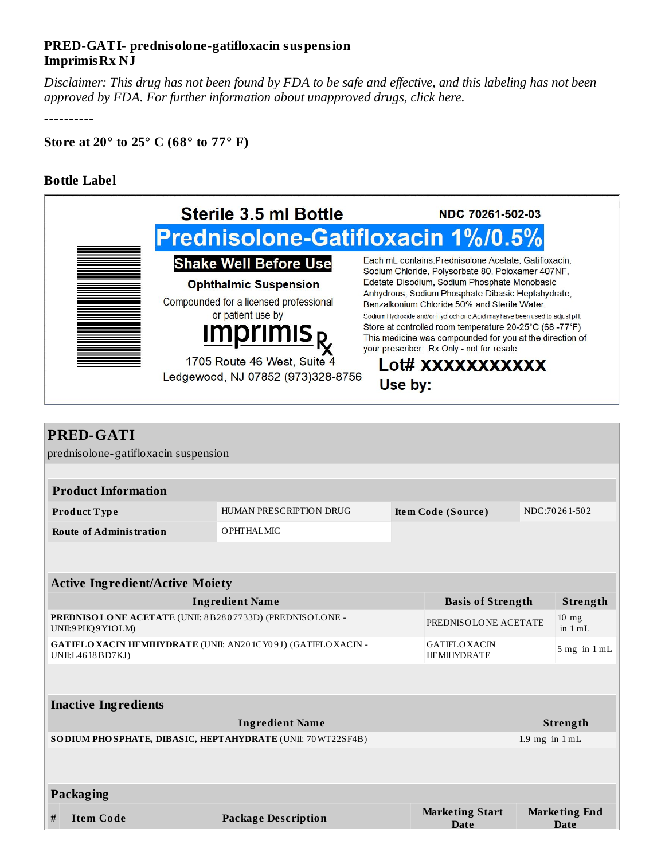## **PRED-GATI- prednisolone-gatifloxacin suspension ImprimisRx NJ**

Disclaimer: This drug has not been found by FDA to be safe and effective, and this labeling has not been *approved by FDA. For further information about unapproved drugs, click here.*

----------

**Store at 20° to 25° C (68° to 77° F)**

## **Bottle Label**

 $\overline{\Gamma}$ 

|  | <b>Sterile 3.5 ml Bottle</b>                                                                | NDC 70261-502-03                                                                                                                                                |  |  |  |  |
|--|---------------------------------------------------------------------------------------------|-----------------------------------------------------------------------------------------------------------------------------------------------------------------|--|--|--|--|
|  | <b>Prednisolone-Gatifloxacin 1%/0.5%</b>                                                    |                                                                                                                                                                 |  |  |  |  |
|  | <b>Shake Well Before Use</b>                                                                | Each mL contains: Prednisolone Acetate, Gatifloxacin,<br>Sodium Chloride, Polysorbate 80, Poloxamer 407NF,                                                      |  |  |  |  |
|  | <b>Ophthalmic Suspension</b>                                                                | Edetate Disodium, Sodium Phosphate Monobasic<br>Anhydrous, Sodium Phosphate Dibasic Heptahydrate,                                                               |  |  |  |  |
|  | Compounded for a licensed professional<br>or patient use by<br><b>Imprimis</b> <sub>R</sub> | Benzalkonium Chloride 50% and Sterile Water.<br>Sodium Hydroxide and/or Hydrochloric Acid may have been used to adjust pH.                                      |  |  |  |  |
|  |                                                                                             | Store at controlled room temperature 20-25°C (68-77°F)<br>This medicine was compounded for you at the direction of<br>your prescriber. Rx Only - not for resale |  |  |  |  |
|  | 1705 Route 46 West, Suite 4<br>Ledgewood, NJ 07852 (973)328-8756                            | Lot# XXXXXXXXXXX<br>Use by:                                                                                                                                     |  |  |  |  |

| <b>PRED-GATI</b>                                                                         |  |                            |                    |                                           |                                                      |                                     |  |  |  |  |
|------------------------------------------------------------------------------------------|--|----------------------------|--------------------|-------------------------------------------|------------------------------------------------------|-------------------------------------|--|--|--|--|
| prednisolone-gatifloxacin suspension                                                     |  |                            |                    |                                           |                                                      |                                     |  |  |  |  |
|                                                                                          |  |                            |                    |                                           |                                                      |                                     |  |  |  |  |
| <b>Product Information</b>                                                               |  |                            |                    |                                           |                                                      |                                     |  |  |  |  |
| Product Type                                                                             |  | HUMAN PRESCRIPTION DRUG    | Item Code (Source) |                                           | NDC:70261-502                                        |                                     |  |  |  |  |
| <b>Route of Administration</b>                                                           |  | <b>OPHTHALMIC</b>          |                    |                                           |                                                      |                                     |  |  |  |  |
|                                                                                          |  |                            |                    |                                           |                                                      |                                     |  |  |  |  |
|                                                                                          |  |                            |                    |                                           |                                                      |                                     |  |  |  |  |
| <b>Active Ingredient/Active Moiety</b>                                                   |  |                            |                    |                                           |                                                      |                                     |  |  |  |  |
| <b>Ingredient Name</b><br><b>Basis of Strength</b>                                       |  |                            |                    |                                           | Strength                                             |                                     |  |  |  |  |
| PREDNISOLONE ACETATE (UNII: 8B2807733D) (PREDNISOLONE -<br>UNII:9 PHQ9 Y1OLM)            |  |                            |                    |                                           | $10$ mg<br>PREDNISOLONE ACETATE<br>in $1 \text{ mL}$ |                                     |  |  |  |  |
| <b>GATIFLOXACIN HEMIHYDRATE (UNII: AN201CY09J) (GATIFLOXACIN -</b><br>UNII:L46 18 BD7KJ) |  |                            |                    | <b>GATIFLOXACIN</b><br><b>HEMIHYDRATE</b> |                                                      | $5$ mg in $1$ mL                    |  |  |  |  |
|                                                                                          |  |                            |                    |                                           |                                                      |                                     |  |  |  |  |
| <b>Inactive Ingredients</b>                                                              |  |                            |                    |                                           |                                                      |                                     |  |  |  |  |
| <b>Ingredient Name</b>                                                                   |  |                            |                    |                                           |                                                      | Strength                            |  |  |  |  |
| SO DIUM PHO SPHATE, DIBASIC, HEPTAHYDRATE (UNII: 70 WT22SF4B)                            |  |                            |                    |                                           |                                                      | $1.9$ mg in $1$ mL                  |  |  |  |  |
|                                                                                          |  |                            |                    |                                           |                                                      |                                     |  |  |  |  |
| Packaging                                                                                |  |                            |                    |                                           |                                                      |                                     |  |  |  |  |
| <b>Item Code</b><br>#                                                                    |  | <b>Package Description</b> |                    | <b>Marketing Start</b><br><b>Date</b>     |                                                      | <b>Marketing End</b><br><b>Date</b> |  |  |  |  |